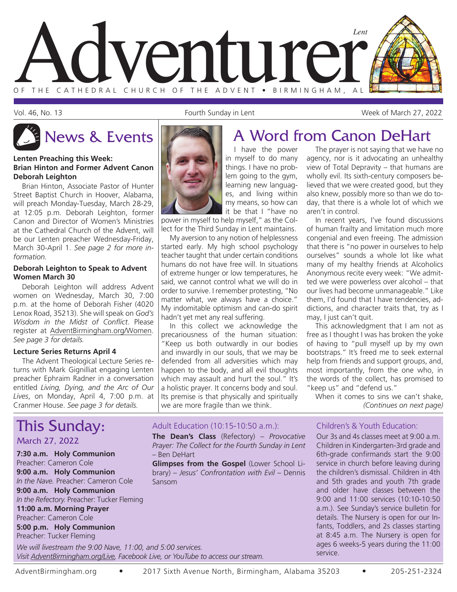

Vol. 46, No. 13 Fourth Sunday in Lent Week of March 27, 2022

The prayer is not saying that we have no agency, nor is it advocating an unhealthy view of Total Depravity – that humans are wholly evil. Its sixth-century composers believed that we were created good, but they also knew, possibly more so than we do today, that there is a whole lot of which we

In recent years, I've found discussions of human frailty and limitation much more congenial and even freeing. The admission that there is "no power in ourselves to help ourselves" sounds a whole lot like what many of my healthy friends at Alcoholics Anonymous recite every week: "We admitted we were powerless over alcohol – that our lives had become unmanageable." Like them, I'd found that I have tendencies, addictions, and character traits that, try as I

This acknowledgment that I am not as free as I thought I was has broken the yoke of having to "pull myself up by my own bootstraps." It's freed me to seek external help from friends and support groups, and, most importantly, from the one who, in the words of the collect, has promised to

When it comes to sins we can't shake,

*(Continues on next page)*

#### **Lenten Preaching this Week: Brian Hinton and Former Advent Canon Deborah Leighton**

Brian Hinton, Associate Pastor of Hunter Street Baptist Church in Hoover, Alabama, will preach Monday-Tuesday, March 28-29, at 12:05 p.m. Deborah Leighton, former Canon and Director of Women's Ministries at the Cathedral Church of the Advent, will be our Lenten preacher Wednesday-Friday, March 30-April 1. *See page 2 for more information.*

### **Deborah Leighton to Speak to Advent Women March 30**

Deborah Leighton will address Advent women on Wednesday, March 30, 7:00 p.m. at the home of Deborah Fisher (4020 Lenox Road, 35213). She will speak on *God's Wisdom in the Midst of Conflict*. Please register at AdventBirmingham.org/Women. *See page 3 for details.*

### **Lecture Series Returns April 4**

The Advent Theological Lecture Series returns with Mark Gignilliat engaging Lenten preacher Ephraim Radner in a conversation entitled *Living, Dying, and the Arc of Our Lives*, on Monday, April 4, 7:00 p.m. at Cranmer House. *See page 3 for details.*

## This Sunday:

### March 27, 2022

**7:30 a.m. Holy Communion** Preacher: Cameron Cole **9:00 a.m. Holy Communion** *In the Nave.* Preacher: Cameron Cole **9:00 a.m. Holy Communion** *In the Refectory.* Preacher: Tucker Fleming **11:00 a.m. Morning Prayer** Preacher: Cameron Cole **5:00 p.m. Holy Communion** Preacher: Tucker Fleming

*We will livestream the 9:00 Nave, 11:00, and 5:00 services. Visit AdventBirmingham.org/Live, Facebook Live, or YouTube to access our stream.*

## News & Events **A Word from Canon DeHart**

aren't in control.

may, I just can't quit.

I have the power in myself to do many things. I have no problem going to the gym, learning new languages, and living within my means, so how can it be that I "have no

power in myself to help myself," as the Collect for the Third Sunday in Lent maintains.

My aversion to any notion of helplessness started early. My high school psychology teacher taught that under certain conditions humans do not have free will. In situations of extreme hunger or low temperatures, he said, we cannot control what we will do in order to survive. I remember protesting, "No matter what, we always have a choice." My indomitable optimism and can-do spirit hadn't yet met any real suffering.

In this collect we acknowledge the precariousness of the human situation: "Keep us both outwardly in our bodies and inwardly in our souls, that we may be defended from all adversities which may happen to the body, and all evil thoughts which may assault and hurt the soul." It's a holistic prayer. It concerns body and soul. Its premise is that physically and spiritually we are more fragile than we think.

### Adult Education (10:15-10:50 a.m.):

**The Dean's Class** (Refectory) – *Provocative Prayer: The Collect for the Fourth Sunday in Lent*  – Ben DeHart

**Glimpses from the Gospel** (Lower School Library) – *Jesus' Confrontation with Evil* – Dennis Sansom

### Children's & Youth Education:

"keep us" and "defend us."

Our 3s and 4s classes meet at 9:00 a.m. Children in Kindergarten-3rd grade and 6th-grade confirmands start the 9:00 service in church before leaving during the children's dismissal. Children in 4th and 5th grades and youth 7th grade and older have classes between the 9:00 and 11:00 services (10:10-10:50 a.m.). See Sunday's service bulletin for details. The Nursery is open for our Infants, Toddlers, and 2s classes starting at 8:45 a.m. The Nursery is open for ages 6 weeks-5 years during the 11:00 service.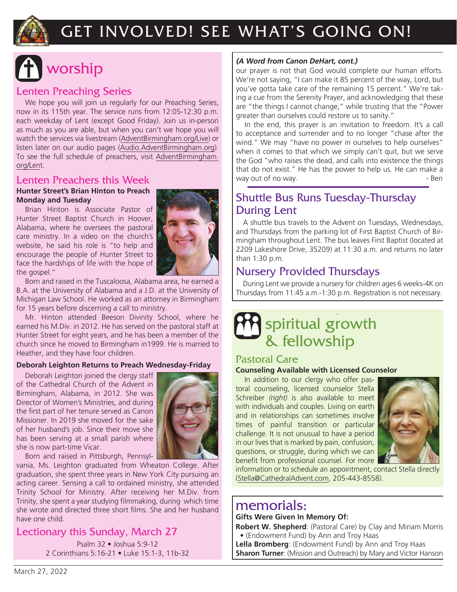

## GET INVOLVED! SEE WHAT'S GOING ON!

# worship

### Lenten Preaching Series

We hope you will join us regularly for our Preaching Series, now in its 115th year. The service runs from 12:05-12:30 p.m. each weekday of Lent (except Good Friday). Join us in-person as much as you are able, but when you can't we hope you will watch the services via livestream (AdventBirmingham.org/Live) or listen later on our audio pages (Audio.AdventBirmingham.org). To see the full schedule of preachers, visit AdventBirmingham. org/Lent.

### Lenten Preachers this Week

### **Hunter Street's Brian Hinton to Preach Monday and Tuesday**

Brian Hinton is Associate Pastor of Hunter Street Baptist Church in Hoover, Alabama, where he oversees the pastoral care ministry. In a video on the church's website, he said his role is "to help and encourage the people of Hunter Street to face the hardships of life with the hope of the gospel."



Born and raised in the Tuscaloosa, Alabama area, he earned a B.A. at the University of Alabama and a J.D. at the University of Michigan Law School. He worked as an attorney in Birmingham for 15 years before discerning a call to ministry.

Mr. Hinton attended Beeson Divinity School, where he earned his M.Div. in 2012. He has served on the pastoral staff at Hunter Street for eight years, and he has been a member of the church since he moved to Birmingham in1999. He is married to Heather, and they have four children.

### **Deborah Leighton Returns to Preach Wednesday-Friday**

Deborah Leighton joined the clergy staff of the Cathedral Church of the Advent in Birmingham, Alabama, in 2012. She was Director of Women's Ministries, and during the first part of her tenure served as Canon Missioner. In 2019 she moved for the sake of her husband's job. Since their move she has been serving at a small parish where she is now part-time Vicar.



Born and raised in Pittsburgh, Pennsyl-

vania, Ms. Leighton graduated from Wheaton College. After graduation, she spent three years in New York City pursuing an acting career. Sensing a call to ordained ministry, she attended Trinity School for Ministry. After receiving her M.Div. from Trinity, she spent a year studying filmmaking, during which time she wrote and directed three short films. She and her husband have one child.

### Lectionary this Sunday, March 27

Psalm 32 • Joshua 5:9-12 2 Corinthians 5:16-21 • Luke 15:1-3, 11b-32

### **(A Word from Canon DeHart, cont.)**

our prayer is not that God would complete our human efforts. We're not saying, "I can make it 85 percent of the way, Lord, but you've gotta take care of the remaining 15 percent." We're taking a cue from the Serenity Prayer, and acknowledging that these are "the things I cannot change," while trusting that the "Power greater than ourselves could restore us to sanity."

In the end, this prayer is an invitation to freedom. It's a call to acceptance and surrender and to no longer "chase after the wind." We may "have no power in ourselves to help ourselves" when it comes to that which we simply can't quit, but we serve the God "who raises the dead, and calls into existence the things that do not exist." He has the power to help us. He can make a way out of no way.

### Shuttle Bus Runs Tuesday-Thursday During Lent

A shuttle bus travels to the Advent on Tuesdays, Wednesdays, and Thursdays from the parking lot of First Baptist Church of Birmingham throughout Lent. The bus leaves First Baptist (located at 2209 Lakeshore Drive, 35209) at 11:30 a.m. and returns no later than 1:30 p.m.

### Nursery Provided Thursdays

During Lent we provide a nursery for children ages 6 weeks-4K on Thursdays from 11:45 a.m.-1:30 p.m. Registration is not necessary.

## *.* spiritual growth & fellowship

### Pastoral Care

### **Counseling Available with Licensed Counselor**

In addition to our clergy who offer pastoral counseling, licensed counselor Stella Schreiber *(right)* is also available to meet with individuals and couples. Living on earth and in relationships can sometimes involve times of painful transition or particular challenge. It is not unusual to have a period in our lives that is marked by pain, confusion, questions, or struggle, during which we can benefit from professional counsel. For more



information or to schedule an appointment, contact Stella directly (Stella@CathedralAdvent.com, 205-443-8558).

### memorials:

### **Gifts Were Given In Memory Of:**

**Robert W. Shepherd**: (Pastoral Care) by Clay and Miriam Morris

• (Endowment Fund) by Ann and Troy Haas

**Lella Bromberg**: (Endowment Fund) by Ann and Troy Haas **Sharon Turner:** (Mission and Outreach) by Mary and Victor Hanson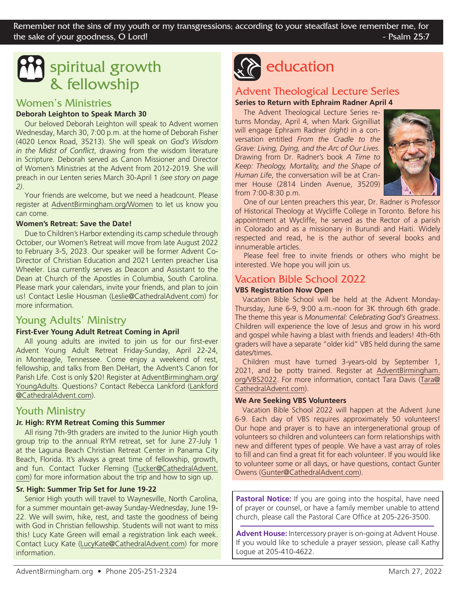## spiritual growth & fellowship

### Women's Ministries

### **Deborah Leighton to Speak March 30**

Our beloved Deborah Leighton will speak to Advent women Wednesday, March 30, 7:00 p.m. at the home of Deborah Fisher (4020 Lenox Road, 35213). She will speak on *God's Wisdom in the Midst of Conflict*, drawing from the wisdom literature in Scripture. Deborah served as Canon Missioner and Director of Women's Ministries at the Advent from 2012-2019. She will preach in our Lenten series March 30-April 1 *(see story on page 2)*.

Your friends are welcome, but we need a headcount. Please register at AdventBirmingham.org/Women to let us know you can come.

### **Women's Retreat: Save the Date!**

Due to Children's Harbor extending its camp schedule through October, our Women's Retreat will move from late August 2022 to February 3-5, 2023. Our speaker will be former Advent Co-Director of Christian Education and 2021 Lenten preacher Lisa Wheeler. Lisa currently serves as Deacon and Assistant to the Dean at Church of the Apostles in Columbia, South Carolina. Please mark your calendars, invite your friends, and plan to join us! Contact Leslie Housman (Leslie@CathedralAdvent.com) for more information.

### Young Adults' Ministry

### **First-Ever Young Adult Retreat Coming in April**

All young adults are invited to join us for our first-ever Advent Young Adult Retreat Friday-Sunday, April 22-24, in Monteagle, Tennessee. Come enjoy a weekend of rest, fellowship, and talks from Ben DeHart, the Advent's Canon for Parish Life. Cost is only \$20! Register at AdventBirmingham.org/ YoungAdults. Questions? Contact Rebecca Lankford (Lankford @CathedralAdvent.com).

### Youth Ministry

### **Jr. High: RYM Retreat Coming this Summer**

All rising 7th-9th graders are invited to the Junior High youth group trip to the annual RYM retreat, set for June 27-July 1 at the Laguna Beach Christian Retreat Center in Panama City Beach, Florida. It's always a great time of fellowship, growth, and fun. Contact Tucker Fleming (Tucker@CathedralAdvent. com) for more information about the trip and how to sign up.

### **Sr. High: Summer Trip Set for June 19-22**

Senior High youth will travel to Waynesville, North Carolina, for a summer mountain get-away Sunday-Wednesday, June 19- 22. We will swim, hike, rest, and taste the goodness of being with God in Christian fellowship. Students will not want to miss this! Lucy Kate Green will email a registration link each week. Contact Lucy Kate (LucyKate@CathedralAdvent.com) for more information.



## Advent Theological Lecture Series

### **Series to Return with Ephraim Radner April 4**

The Advent Theological Lecture Series returns Monday, April 4, when Mark Gignilliat will engage Ephraim Radner *(right)* in a conversation entitled *From the Cradle to the Grave: Living, Dying, and the Arc of Our Lives.* Drawing from Dr. Radner's book *A Time to Keep: Theology, Mortality, and the Shape of Human Life*, the conversation will be at Cranmer House (2814 Linden Avenue, 35209) from 7:00-8:30 p.m.



One of our Lenten preachers this year, Dr. Radner is Professor of Historical Theology at Wycliffe College in Toronto. Before his appointment at Wycliffe, he served as the Rector of a parish in Colorado and as a missionary in Burundi and Haiti. Widely respected and read, he is the author of several books and innumerable articles.

Please feel free to invite friends or others who might be interested. We hope you will join us.

### Vacation Bible School 2022

### **VBS Registration Now Open**

Vacation Bible School will be held at the Advent Monday-Thursday, June 6-9, 9:00 a.m.-noon for 3K through 6th grade. The theme this year is *Monumental: Celebrating God's Greatness*. Children will experience the love of Jesus and grow in his word and gospel while having a blast with friends and leaders! 4th-6th graders will have a separate "older kid" VBS held during the same dates/times.

Children must have turned 3-years-old by September 1, 2021, and be potty trained. Register at AdventBirmingham. org/VBS2022. For more information, contact Tara Davis (Tara@ CathedralAdvent.com).

### **We Are Seeking VBS Volunteers**

Vacation Bible School 2022 will happen at the Advent June 6-9. Each day of VBS requires approximately 50 volunteers! Our hope and prayer is to have an intergenerational group of volunteers so children and volunteers can form relationships with new and different types of people. We have a vast array of roles to fill and can find a great fit for each volunteer. If you would like to volunteer some or all days, or have questions, contact Gunter Owens (Gunter@CathedralAdvent.com).

**Pastoral Notice:** If you are going into the hospital, have need of prayer or counsel, or have a family member unable to attend church, please call the Pastoral Care Office at 205-226-3500.

**Advent House:** Intercessory prayer is on-going at Advent House. If you would like to schedule a prayer session, please call Kathy Logue at 205-410-4622.